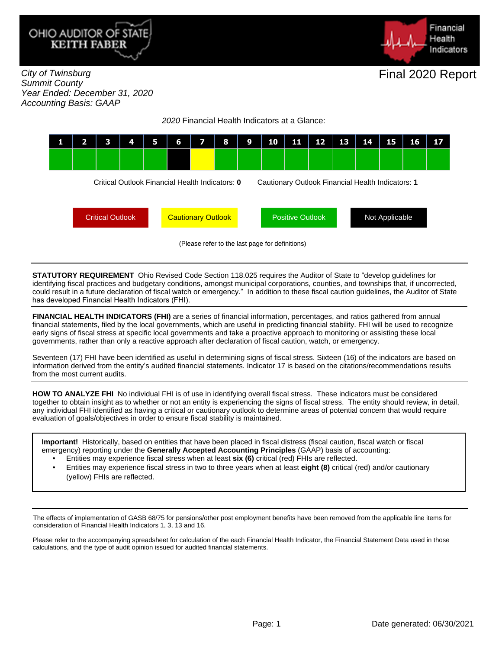



City of Twinsburg Summit County Year Ended: December 31, 2020 Accounting Basis: GAAP

2020 Financial Health Indicators at a Glance:



**STATUTORY REQUIREMENT** Ohio Revised Code Section 118.025 requires the Auditor of State to "develop guidelines for identifying fiscal practices and budgetary conditions, amongst municipal corporations, counties, and townships that, if uncorrected, could result in a future declaration of fiscal watch or emergency." In addition to these fiscal caution guidelines, the Auditor of State has developed Financial Health Indicators (FHI).

**FINANCIAL HEALTH INDICATORS (FHI)** are a series of financial information, percentages, and ratios gathered from annual financial statements, filed by the local governments, which are useful in predicting financial stability. FHI will be used to recognize early signs of fiscal stress at specific local governments and take a proactive approach to monitoring or assisting these local governments, rather than only a reactive approach after declaration of fiscal caution, watch, or emergency.

Seventeen (17) FHI have been identified as useful in determining signs of fiscal stress. Sixteen (16) of the indicators are based on information derived from the entity's audited financial statements. Indicator 17 is based on the citations/recommendations results from the most current audits.

**HOW TO ANALYZE FHI** No individual FHI is of use in identifying overall fiscal stress. These indicators must be considered together to obtain insight as to whether or not an entity is experiencing the signs of fiscal stress. The entity should review, in detail, any individual FHI identified as having a critical or cautionary outlook to determine areas of potential concern that would require evaluation of goals/objectives in order to ensure fiscal stability is maintained.

**Important!** Historically, based on entities that have been placed in fiscal distress (fiscal caution, fiscal watch or fiscal emergency) reporting under the **Generally Accepted Accounting Principles** (GAAP) basis of accounting:

- Entities may experience fiscal stress when at least **six (6)** critical (red) FHIs are reflected.
- Entities may experience fiscal stress in two to three years when at least **eight (8)** critical (red) and/or cautionary (yellow) FHIs are reflected.

The effects of implementation of GASB 68/75 for pensions/other post employment benefits have been removed from the applicable line items for consideration of Financial Health Indicators 1, 3, 13 and 16.

Please refer to the accompanying spreadsheet for calculation of the each Financial Health Indicator, the Financial Statement Data used in those calculations, and the type of audit opinion issued for audited financial statements.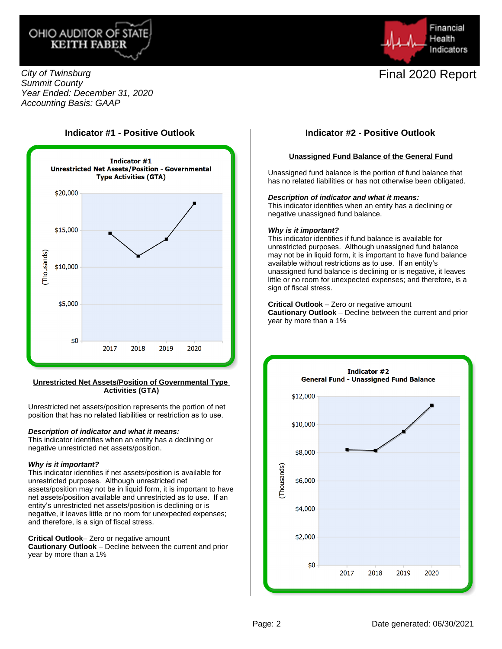



City of Twinsburg Summit County Year Ended: December 31, 2020 Accounting Basis: GAAP





#### **Unrestricted Net Assets/Position of Governmental Type Activities (GTA)**

Unrestricted net assets/position represents the portion of net position that has no related liabilities or restriction as to use.

#### **Description of indicator and what it means:**

This indicator identifies when an entity has a declining or negative unrestricted net assets/position.

#### **Why is it important?**

This indicator identifies if net assets/position is available for unrestricted purposes. Although unrestricted net assets/position may not be in liquid form, it is important to have net assets/position available and unrestricted as to use. If an entity's unrestricted net assets/position is declining or is negative, it leaves little or no room for unexpected expenses; and therefore, is a sign of fiscal stress.

#### **Critical Outlook**– Zero or negative amount

**Cautionary Outlook** – Decline between the current and prior year by more than a 1%

### **Unassigned Fund Balance of the General Fund**

Unassigned fund balance is the portion of fund balance that has no related liabilities or has not otherwise been obligated.

### **Description of indicator and what it means:**

This indicator identifies when an entity has a declining or negative unassigned fund balance.

#### **Why is it important?**

This indicator identifies if fund balance is available for unrestricted purposes. Although unassigned fund balance may not be in liquid form, it is important to have fund balance available without restrictions as to use. If an entity's unassigned fund balance is declining or is negative, it leaves little or no room for unexpected expenses; and therefore, is a sign of fiscal stress.

**Critical Outlook** – Zero or negative amount **Cautionary Outlook** – Decline between the current and prior year by more than a 1%

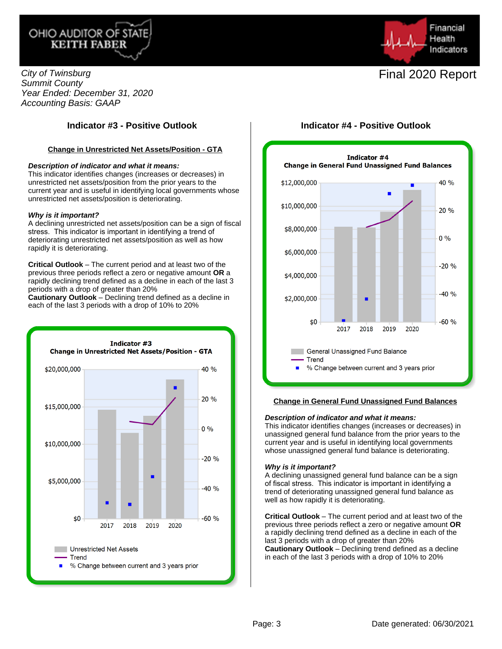



City of Twinsburg Summit County Year Ended: December 31, 2020 Accounting Basis: GAAP

## **Indicator #3 - Positive Outlook Indicator #4 - Positive Outlook**

#### **Change in Unrestricted Net Assets/Position - GTA**

#### **Description of indicator and what it means:**

This indicator identifies changes (increases or decreases) in unrestricted net assets/position from the prior years to the current year and is useful in identifying local governments whose unrestricted net assets/position is deteriorating.

#### **Why is it important?**

A declining unrestricted net assets/position can be a sign of fiscal stress. This indicator is important in identifying a trend of deteriorating unrestricted net assets/position as well as how rapidly it is deteriorating.

**Critical Outlook** – The current period and at least two of the previous three periods reflect a zero or negative amount **OR** a rapidly declining trend defined as a decline in each of the last 3 periods with a drop of greater than 20%

**Cautionary Outlook** – Declining trend defined as a decline in each of the last 3 periods with a drop of 10% to 20%





### **Change in General Fund Unassigned Fund Balances**

#### **Description of indicator and what it means:**

This indicator identifies changes (increases or decreases) in unassigned general fund balance from the prior years to the current year and is useful in identifying local governments whose unassigned general fund balance is deteriorating.

#### **Why is it important?**

A declining unassigned general fund balance can be a sign of fiscal stress. This indicator is important in identifying a trend of deteriorating unassigned general fund balance as well as how rapidly it is deteriorating.

**Critical Outlook** – The current period and at least two of the previous three periods reflect a zero or negative amount **OR** a rapidly declining trend defined as a decline in each of the last 3 periods with a drop of greater than 20% **Cautionary Outlook** – Declining trend defined as a decline in each of the last 3 periods with a drop of 10% to 20%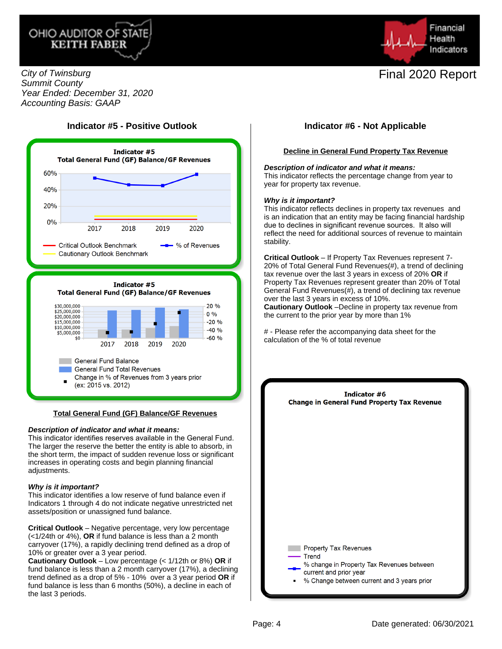



City of Twinsburg Summit County Year Ended: December 31, 2020 Accounting Basis: GAAP

## **Indicator #5 - Positive Outlook Indicator #6 - Not Applicable**



### **Total General Fund (GF) Balance/GF Revenues**

#### **Description of indicator and what it means:**

This indicator identifies reserves available in the General Fund. The larger the reserve the better the entity is able to absorb, in the short term, the impact of sudden revenue loss or significant increases in operating costs and begin planning financial adjustments.

#### **Why is it important?**

This indicator identifies a low reserve of fund balance even if Indicators 1 through 4 do not indicate negative unrestricted net assets/position or unassigned fund balance.

**Critical Outlook** – Negative percentage, very low percentage (<1/24th or 4%), **OR** if fund balance is less than a 2 month carryover (17%), a rapidly declining trend defined as a drop of 10% or greater over a 3 year period.

**Cautionary Outlook** – Low percentage (< 1/12th or 8%) **OR** if fund balance is less than a 2 month carryover (17%), a declining trend defined as a drop of 5% - 10% over a 3 year period **OR** if fund balance is less than 6 months (50%), a decline in each of the last 3 periods.

#### **Decline in General Fund Property Tax Revenue**

#### **Description of indicator and what it means:**

This indicator reflects the percentage change from year to year for property tax revenue.

#### **Why is it important?**

This indicator reflects declines in property tax revenues and is an indication that an entity may be facing financial hardship due to declines in significant revenue sources. It also will reflect the need for additional sources of revenue to maintain stability.

**Critical Outlook** – If Property Tax Revenues represent 7- 20% of Total General Fund Revenues(#), a trend of declining tax revenue over the last 3 years in excess of 20% **OR** if Property Tax Revenues represent greater than 20% of Total General Fund Revenues(#), a trend of declining tax revenue over the last 3 years in excess of 10%.

**Cautionary Outlook** –Decline in property tax revenue from the current to the prior year by more than 1%

# - Please refer the accompanying data sheet for the calculation of the % of total revenue

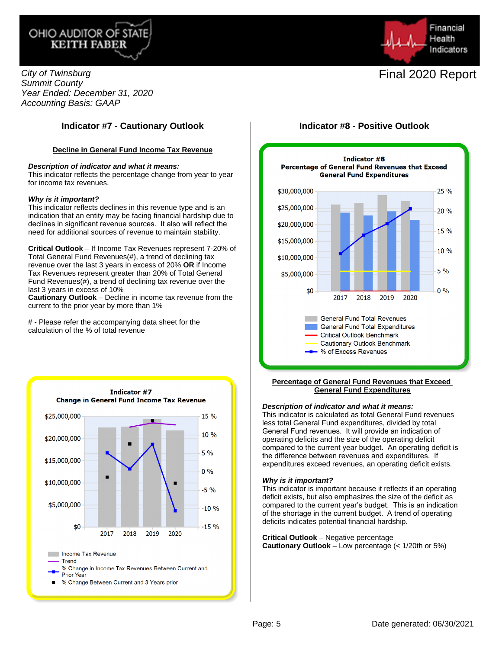



City of Twinsburg Summit County Year Ended: December 31, 2020 Accounting Basis: GAAP

## **Indicator #7 - Cautionary Outlook Indicator #8 - Positive Outlook**

### **Decline in General Fund Income Tax Revenue**

#### **Description of indicator and what it means:**

This indicator reflects the percentage change from year to year for income tax revenues.

#### **Why is it important?**

This indicator reflects declines in this revenue type and is an indication that an entity may be facing financial hardship due to declines in significant revenue sources. It also will reflect the need for additional sources of revenue to maintain stability.

**Critical Outlook** – If Income Tax Revenues represent 7-20% of Total General Fund Revenues(#), a trend of declining tax revenue over the last 3 years in excess of 20% **OR** if Income Tax Revenues represent greater than 20% of Total General Fund Revenues(#), a trend of declining tax revenue over the last 3 years in excess of 10%

**Cautionary Outlook** – Decline in income tax revenue from the current to the prior year by more than 1%

# - Please refer the accompanying data sheet for the calculation of the % of total revenue





#### **Percentage of General Fund Revenues that Exceed General Fund Expenditures**

#### **Description of indicator and what it means:**

This indicator is calculated as total General Fund revenues less total General Fund expenditures, divided by total General Fund revenues. It will provide an indication of operating deficits and the size of the operating deficit compared to the current year budget. An operating deficit is the difference between revenues and expenditures. If expenditures exceed revenues, an operating deficit exists.

#### **Why is it important?**

This indicator is important because it reflects if an operating deficit exists, but also emphasizes the size of the deficit as compared to the current year's budget. This is an indication of the shortage in the current budget. A trend of operating deficits indicates potential financial hardship.

**Critical Outlook** – Negative percentage **Cautionary Outlook** – Low percentage (< 1/20th or 5%)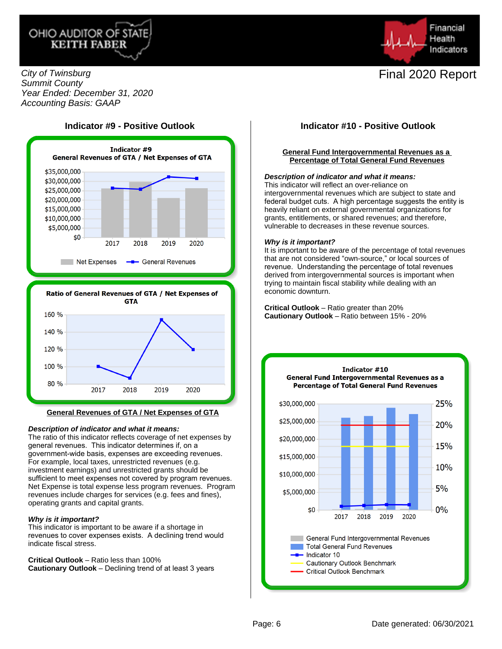



City of Twinsburg Summit County Year Ended: December 31, 2020 Accounting Basis: GAAP





#### **General Revenues of GTA / Net Expenses of GTA**

#### **Description of indicator and what it means:**

The ratio of this indicator reflects coverage of net expenses by general revenues. This indicator determines if, on a government-wide basis, expenses are exceeding revenues. For example, local taxes, unrestricted revenues (e.g. investment earnings) and unrestricted grants should be sufficient to meet expenses not covered by program revenues. Net Expense is total expense less program revenues. Program revenues include charges for services (e.g. fees and fines), operating grants and capital grants.

#### **Why is it important?**

This indicator is important to be aware if a shortage in revenues to cover expenses exists. A declining trend would indicate fiscal stress.

**Critical Outlook** – Ratio less than 100% **Cautionary Outlook** – Declining trend of at least 3 years

### **Indicator #9 - Positive Outlook Indicator #10 - Positive Outlook**

#### **General Fund Intergovernmental Revenues as a Percentage of Total General Fund Revenues**

#### **Description of indicator and what it means:**

This indicator will reflect an over-reliance on intergovernmental revenues which are subject to state and federal budget cuts. A high percentage suggests the entity is heavily reliant on external governmental organizations for grants, entitlements, or shared revenues; and therefore, vulnerable to decreases in these revenue sources.

#### **Why is it important?**

It is important to be aware of the percentage of total revenues that are not considered "own-source," or local sources of revenue. Understanding the percentage of total revenues derived from intergovernmental sources is important when trying to maintain fiscal stability while dealing with an economic downturn.

**Critical Outlook** – Ratio greater than 20% **Cautionary Outlook** – Ratio between 15% - 20%

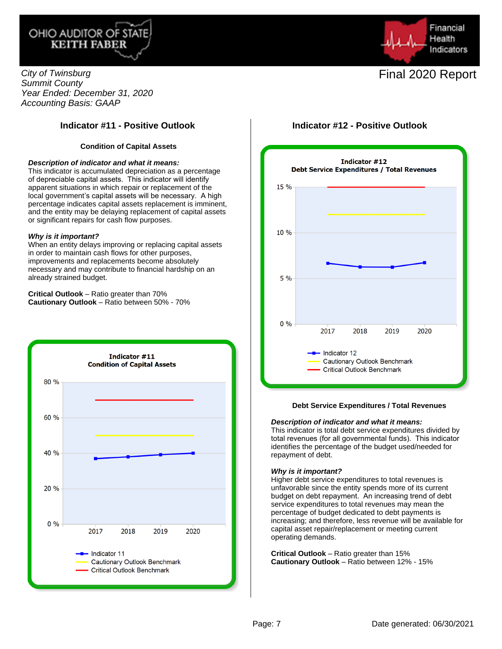



City of Twinsburg Summit County Year Ended: December 31, 2020 Accounting Basis: GAAP

## **Indicator #11 - Positive Outlook Indicator #12 - Positive Outlook**

### **Condition of Capital Assets**

#### **Description of indicator and what it means:**

This indicator is accumulated depreciation as a percentage of depreciable capital assets. This indicator will identify apparent situations in which repair or replacement of the local government's capital assets will be necessary. A high percentage indicates capital assets replacement is imminent, and the entity may be delaying replacement of capital assets or significant repairs for cash flow purposes.

#### **Why is it important?**

When an entity delays improving or replacing capital assets in order to maintain cash flows for other purposes, improvements and replacements become absolutely necessary and may contribute to financial hardship on an already strained budget.

**Critical Outlook** – Ratio greater than 70% **Cautionary Outlook** – Ratio between 50% - 70%





#### **Debt Service Expenditures / Total Revenues**

#### **Description of indicator and what it means:**

This indicator is total debt service expenditures divided by total revenues (for all governmental funds). This indicator identifies the percentage of the budget used/needed for repayment of debt.

#### **Why is it important?**

Higher debt service expenditures to total revenues is unfavorable since the entity spends more of its current budget on debt repayment. An increasing trend of debt service expenditures to total revenues may mean the percentage of budget dedicated to debt payments is increasing; and therefore, less revenue will be available for capital asset repair/replacement or meeting current operating demands.

**Critical Outlook** – Ratio greater than 15% **Cautionary Outlook** – Ratio between 12% - 15%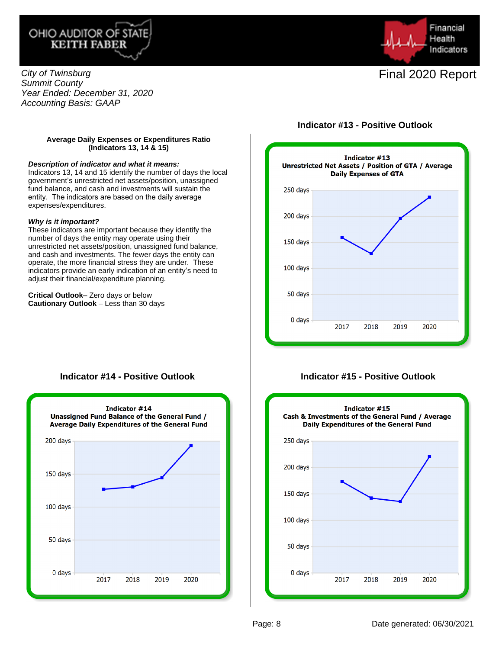



City of Twinsburg Summit County Year Ended: December 31, 2020 Accounting Basis: GAAP

### **Average Daily Expenses or Expenditures Ratio (Indicators 13, 14 & 15)**

#### **Description of indicator and what it means:**

Indicators 13, 14 and 15 identify the number of days the local government's unrestricted net assets/position, unassigned fund balance, and cash and investments will sustain the entity. The indicators are based on the daily average expenses/expenditures.

#### **Why is it important?**

These indicators are important because they identify the number of days the entity may operate using their unrestricted net assets/position, unassigned fund balance, and cash and investments. The fewer days the entity can operate, the more financial stress they are under. These indicators provide an early indication of an entity's need to adjust their financial/expenditure planning.

**Critical Outlook**– Zero days or below **Cautionary Outlook** – Less than 30 days



## **Indicator #14 - Positive Outlook**



## **Indicator #15 - Positive Outlook**

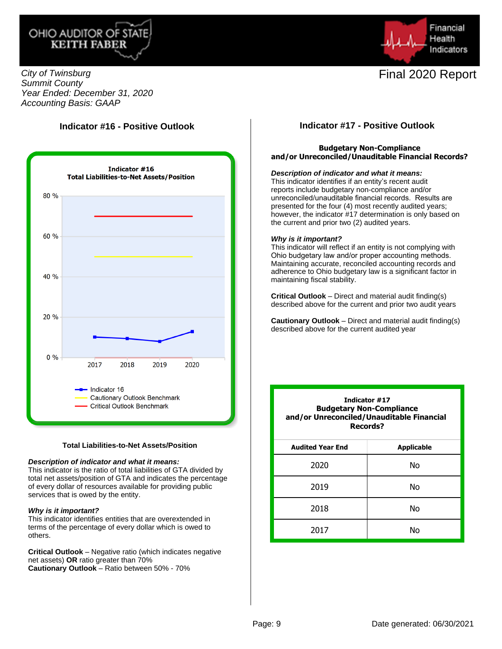



City of Twinsburg Summit County Year Ended: December 31, 2020 Accounting Basis: GAAP

## **Indicator #16 - Positive Outlook**



#### **Total Liabilities-to-Net Assets/Position**

#### **Description of indicator and what it means:**

This indicator is the ratio of total liabilities of GTA divided by total net assets/position of GTA and indicates the percentage of every dollar of resources available for providing public services that is owed by the entity.

#### **Why is it important?**

This indicator identifies entities that are overextended in terms of the percentage of every dollar which is owed to others.

**Critical Outlook** – Negative ratio (which indicates negative net assets) **OR** ratio greater than 70% **Cautionary Outlook** – Ratio between 50% - 70%

### **Indicator #17 - Positive Outlook**

### **Budgetary Non-Compliance and/or Unreconciled/Unauditable Financial Records?**

#### **Description of indicator and what it means:**

This indicator identifies if an entity's recent audit reports include budgetary non-compliance and/or unreconciled/unauditable financial records. Results are presented for the four (4) most recently audited years; however, the indicator #17 determination is only based on the current and prior two (2) audited years.

#### **Why is it important?**

This indicator will reflect if an entity is not complying with Ohio budgetary law and/or proper accounting methods. Maintaining accurate, reconciled accounting records and adherence to Ohio budgetary law is a significant factor in maintaining fiscal stability.

**Critical Outlook** – Direct and material audit finding(s) described above for the current and prior two audit years

**Cautionary Outlook** – Direct and material audit finding(s) described above for the current audited year

| Indicator #17<br><b>Budgetary Non-Compliance</b><br>and/or Unreconciled/Unauditable Financial<br>Records? |                   |
|-----------------------------------------------------------------------------------------------------------|-------------------|
| <b>Audited Year End</b>                                                                                   | <b>Applicable</b> |
| 2020                                                                                                      | N٥                |
| 2019                                                                                                      | Nο                |
| 2018                                                                                                      | Nο                |
| 2017                                                                                                      | N٥                |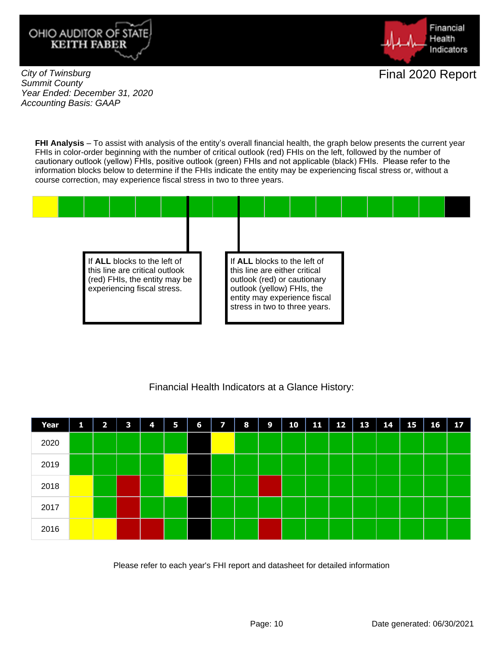



City of Twinsburg Summit County Year Ended: December 31, 2020 Accounting Basis: GAAP

**FHI Analysis** – To assist with analysis of the entity's overall financial health, the graph below presents the current year FHIs in color-order beginning with the number of critical outlook (red) FHIs on the left, followed by the number of cautionary outlook (yellow) FHIs, positive outlook (green) FHIs and not applicable (black) FHIs. Please refer to the information blocks below to determine if the FHIs indicate the entity may be experiencing fiscal stress or, without a course correction, may experience fiscal stress in two to three years.



## Financial Health Indicators at a Glance History:



Please refer to each year's FHI report and datasheet for detailed information